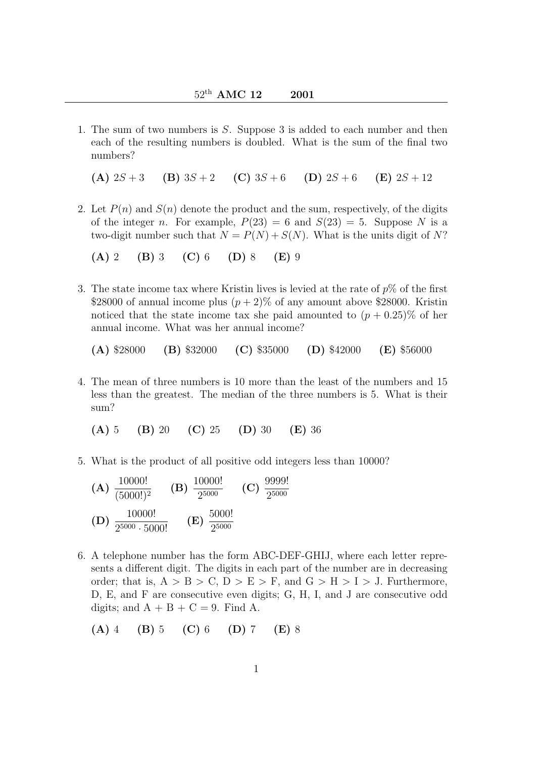1. The sum of two numbers is S. Suppose 3 is added to each number and then each of the resulting numbers is doubled. What is the sum of the final two numbers?

(A)  $2S + 3$  (B)  $3S + 2$  (C)  $3S + 6$  (D)  $2S + 6$  (E)  $2S + 12$ 

2. Let  $P(n)$  and  $S(n)$  denote the product and the sum, respectively, of the digits of the integer n. For example,  $P(23) = 6$  and  $S(23) = 5$ . Suppose N is a two-digit number such that  $N = P(N) + S(N)$ . What is the units digit of N?

$$
(A) 2 (B) 3 (C) 6 (D) 8 (E) 9
$$

3. The state income tax where Kristin lives is levied at the rate of  $p\%$  of the first \$28000 of annual income plus  $(p+2)\%$  of any amount above \$28000. Kristin noticed that the state income tax she paid amounted to  $(p + 0.25)$ % of her annual income. What was her annual income?

(A)  $\$28000$  (B)  $\$32000$  (C)  $\$35000$  (D)  $\$42000$  (E)  $\$56000$ 

4. The mean of three numbers is 10 more than the least of the numbers and 15 less than the greatest. The median of the three numbers is 5. What is their sum?

(A) 5 (B) 20 (C) 25 (D) 30 (E) 36

5. What is the product of all positive odd integers less than 10000?

(**A**) 
$$
\frac{10000!}{(5000!)^2}
$$
 (**B**)  $\frac{10000!}{2^{5000}}$  (**C**)  $\frac{9999!}{2^{5000}}$   
(**D**)  $\frac{10000!}{2^{5000} \cdot 5000!}$  (**E**)  $\frac{5000!}{2^{5000}}$ 

6. A telephone number has the form ABC-DEF-GHIJ, where each letter represents a different digit. The digits in each part of the number are in decreasing order; that is,  $A > B > C$ ,  $D > E > F$ , and  $G > H > I > J$ . Furthermore, D, E, and F are consecutive even digits; G, H, I, and J are consecutive odd digits; and  $A + B + C = 9$ . Find A.

$$
(A) 4 (B) 5 (C) 6 (D) 7 (E) 8
$$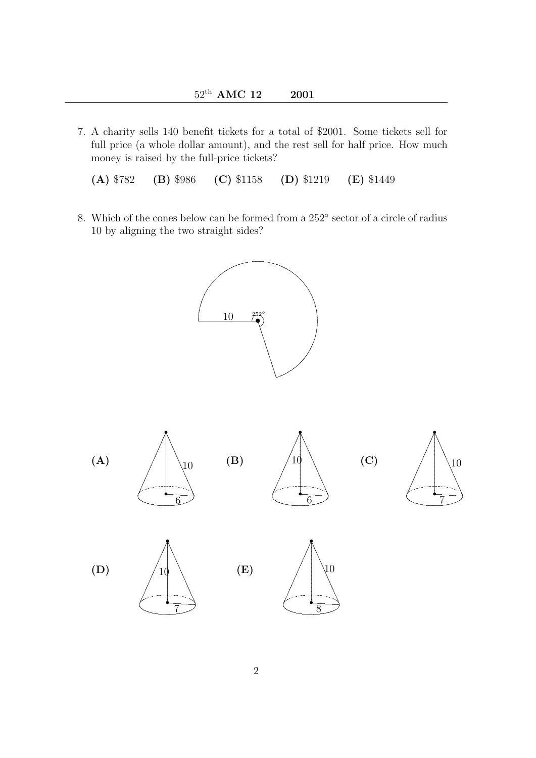7. A charity sells 140 benefit tickets for a total of \$2001. Some tickets sell for full price (a whole dollar amount), and the rest sell for half price. How much money is raised by the full-price tickets?  $\,$ 

 $(C)$  \$1158  $(D)$  \$1219  $(A)$  \$782 (B) \$986 (E) \$1449

8. Which of the cones below can be formed from a 252° sector of a circle of radius 10 by aligning the two straight sides?

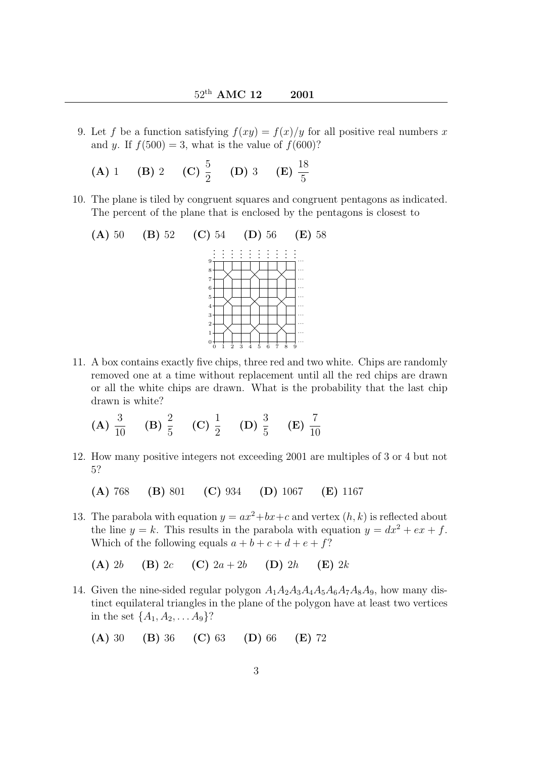- 9. Let f be a function satisfying  $f(xy) = f(x)/y$  for all positive real numbers x and y. If  $f(500) = 3$ , what is the value of  $f(600)$ ?
	- (A) 1 (B) 2 (C)  $\frac{5}{2}$ 2 (D) 3 (E)  $\frac{18}{5}$ 5
- 10. The plane is tiled by congruent squares and congruent pentagons as indicated. The percent of the plane that is enclosed by the pentagons is closest to
	- (A) 50 (B) 52 (C) 54 (D) 56 (E) 58  $\diagup$  $\overline{\phantom{a}}$  $\checkmark$  $\diagup$  $\overline{\phantom{a}}$  $\overline{\phantom{a}}$  $\overline{\phantom{a}}$  $\overline{\phantom{a}}$  $\checkmark$ 0 0<del>! | | | | | | | | |</del> | . . . 1 1┼─ſ╰┬┼─ſ╰┬┤┄ . . . 2 2 ··· . . . 3 3 ··· . . . 4 4 ··· . . . 5 5┼─╲ ノ─┼─╲ ノ─┼─╲ ノ─┤… . . . 6 6 <del>+ + + + + + + + + +</del> … . . . 7 7 ··· . . . 8 8╄┥<del>ノ┼┥</del>ノ┼┽┥ノ┤┈ . . . 9 9<del>. . . . . . . . . . . .</del> ... . . .
- 11. A box contains exactly five chips, three red and two white. Chips are randomly removed one at a time without replacement until all the red chips are drawn or all the white chips are drawn. What is the probability that the last chip drawn is white?

(A) 
$$
\frac{3}{10}
$$
 (B)  $\frac{2}{5}$  (C)  $\frac{1}{2}$  (D)  $\frac{3}{5}$  (E)  $\frac{7}{10}$ 

12. How many positive integers not exceeding 2001 are multiples of 3 or 4 but not 5?

(A) 768 (B) 801 (C) 934 (D) 1067 (E) 1167

13. The parabola with equation  $y = ax^2+bx+c$  and vertex  $(h, k)$  is reflected about the line  $y = k$ . This results in the parabola with equation  $y = dx^2 + ex + f$ . Which of the following equals  $a + b + c + d + e + f$ ?

(A) 2b (B) 2c (C)  $2a + 2b$  (D) 2h (E) 2k

14. Given the nine-sided regular polygon  $A_1A_2A_3A_4A_5A_6A_7A_8A_9$ , how many distinct equilateral triangles in the plane of the polygon have at least two vertices in the set  $\{A_1, A_2, \ldots A_9\}$ ?

(A) 30 (B) 36 (C) 63 (D) 66 (E) 72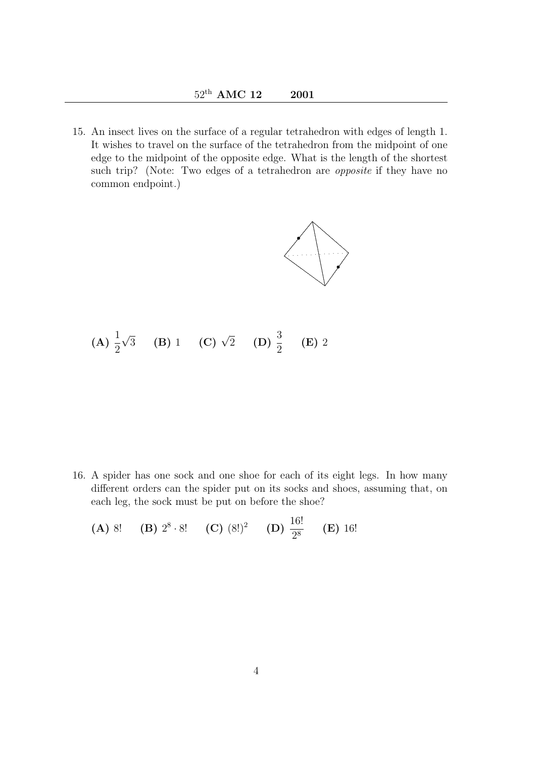15. An insect lives on the surface of a regular tetrahedron with edges of length 1. It wishes to travel on the surface of the tetrahedron from the midpoint of one edge to the midpoint of the opposite edge. What is the length of the shortest such trip? (Note: Two edges of a tetrahedron are *opposite* if they have no common endpoint.)



(A) 
$$
\frac{1}{2}\sqrt{3}
$$
 (B) 1 (C)  $\sqrt{2}$  (D)  $\frac{3}{2}$  (E) 2

16. A spider has one sock and one shoe for each of its eight legs. In how many different orders can the spider put on its socks and shoes, assuming that, on each leg, the sock must be put on before the shoe?

**(A)** 8! **(B)** 
$$
2^8 \cdot 8!
$$
 **(C)**  $(8!)^2$  **(D)**  $\frac{16!}{2^8}$  **(E)** 16!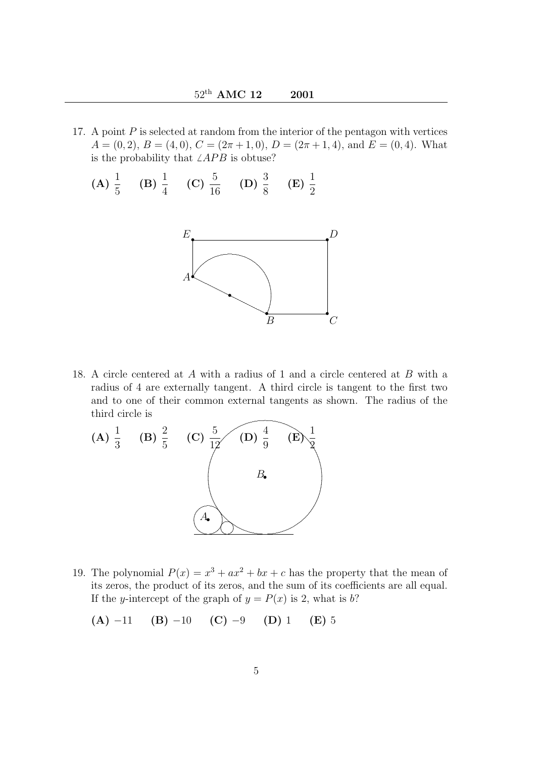- 17. A point  $P$  is selected at random from the interior of the pentagon with vertices  $A = (0, 2), B = (4, 0), C = (2\pi + 1, 0), D = (2\pi + 1, 4),$  and  $E = (0, 4)$ . What is the probability that  $\angle APB$  is obtuse?
	- $(A) \frac{1}{5}$ 5 (B)  $\frac{1}{4}$ 4 (C)  $\frac{5}{16}$ 16 (D)  $\frac{3}{5}$ 8  $(E) \frac{1}{2}$ 2



18. A circle centered at A with a radius of 1 and a circle centered at B with a radius of 4 are externally tangent. A third circle is tangent to the first two and to one of their common external tangents as shown. The radius of the third circle is



19. The polynomial  $P(x) = x^3 + ax^2 + bx + c$  has the property that the mean of its zeros, the product of its zeros, and the sum of its coefficients are all equal. If the y-intercept of the graph of  $y = P(x)$  is 2, what is b?

(A) −11 (B) −10 (C) −9 (D) 1 (E) 5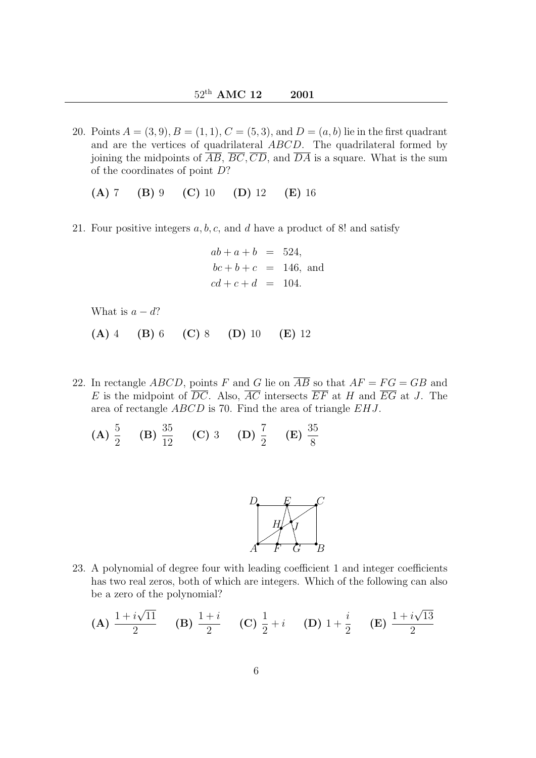20. Points  $A = (3, 9), B = (1, 1), C = (5, 3),$  and  $D = (a, b)$  lie in the first quadrant and are the vertices of quadrilateral ABCD. The quadrilateral formed by joining the midpoints of  $\overline{AB}, \overline{BC}, \overline{CD}$ , and  $\overline{DA}$  is a square. What is the sum of the coordinates of point D?

$$
(A) 7 (B) 9 (C) 10 (D) 12 (E) 16
$$

21. Four positive integers  $a, b, c$ , and d have a product of 8! and satisfy

$$
ab + a + b = 524,
$$
  
\n $bc + b + c = 146,$  and  
\n $cd + c + d = 104.$ 

What is  $a - d$ ?

- (A) 4 (B) 6 (C) 8 (D) 10 (E) 12
- 22. In rectangle ABCD, points F and G lie on  $\overline{AB}$  so that  $AF = FG = GB$  and E is the midpoint of  $\overline{DC}$ . Also,  $\overline{AC}$  intersects  $\overline{EF}$  at H and  $\overline{EG}$  at J. The area of rectangle ABCD is 70. Find the area of triangle EHJ.
	- $(A) \frac{5}{2}$ 2 (B)  $\frac{35}{10}$ 12 (C) 3 (D)  $\frac{7}{9}$ 2  $(E) \frac{35}{2}$ 8



23. A polynomial of degree four with leading coefficient 1 and integer coefficients has two real zeros, both of which are integers. Which of the following can also be a zero of the polynomial?

**(A)** 
$$
\frac{1+i\sqrt{11}}{2}
$$
 **(B)**  $\frac{1+i}{2}$  **(C)**  $\frac{1}{2}+i$  **(D)**  $1+\frac{i}{2}$  **(E)**  $\frac{1+i\sqrt{13}}{2}$